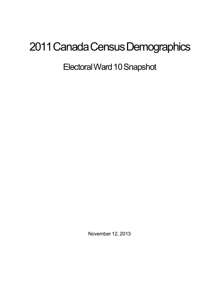## 2011 Canada Census Demographics

Electoral Ward 10 Snapshot

November 12, 2013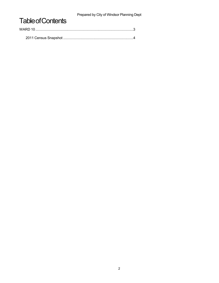Prepared by City of Windsor Planning Dept

## **Table of Contents**

| WARD 10 |  |
|---------|--|
|         |  |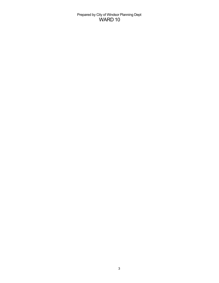Prepared by City of Windsor Planning Dept WARD 10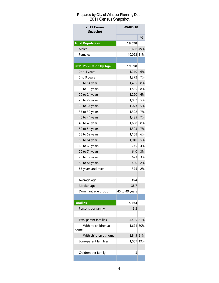## Prepared by City of Windsor Planning Dept 2011 Census Snapshot

| 2011 Census<br><b>Snapshot</b> | <b>WARD 10</b> |     |
|--------------------------------|----------------|-----|
|                                |                | ℅   |
| <b>Total Population</b>        | 19,698         |     |
| Males                          | 9.606 49%      |     |
| Females                        | 10,092 51%     |     |
|                                |                |     |
| 2011 Population by Age         | 19,698         |     |
| 0 to 4 years                   | 1,210          | 6%  |
| 5 to 9 years                   | 1,372          | 7%  |
| 10 to 14 years                 | 1,485          | 8%  |
| 15 to 19 years                 | 1,555          | 8%  |
| 20 to 24 years                 | 1,220          | 6%  |
| 25 to 29 years                 | 1,032          | 5%  |
| 30 to 34 years                 | 1,073          | 5%  |
| 35 to 39 years                 | 1,322          | 7%  |
| 40 to 44 years                 | 1,435          | 7%  |
| 45 to 49 years                 | 1,668          | 8%  |
| 50 to 54 years                 | 1,393          | 7%  |
| 55 to 59 years                 | 1,158          | 6%  |
| 60 to 64 years                 | 1,040          | 5%  |
| 65 to 69 years                 | 745            | 4%  |
| 70 to 74 years                 | 640            | 3%  |
| 75 to 79 years                 | 623            | 3%  |
| 80 to 84 years                 | 490            | 2%  |
| 85 years and over              | 375            | 2%  |
|                                |                |     |
| Average age                    | 38.4           |     |
| Median age                     | 38.7           |     |
| Dominant age group             | 45 to 49 years |     |
|                                |                |     |
| <b>Families</b>                | 5,563          |     |
| Persons per family             | 3.2            |     |
|                                |                |     |
| Two-parent families            | 4,485 81%      |     |
| With no children at            | 1.671          | 30% |
| home                           |                |     |
| With children at home          | 2,845          | 51% |
| Lone-parent familiies          | 1,057          | 19% |
|                                |                |     |
| Children per family            | 1.3            |     |
|                                |                |     |